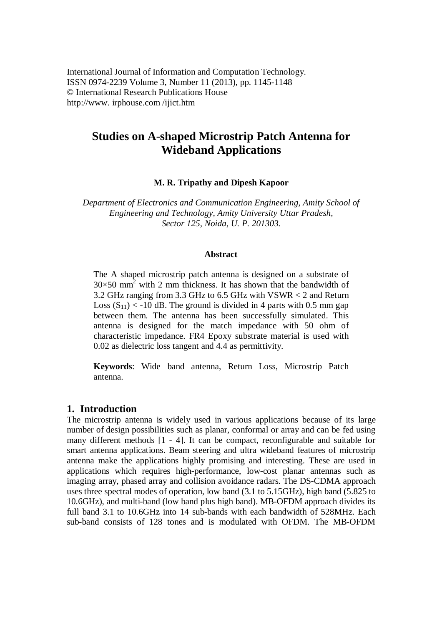# **Studies on A-shaped Microstrip Patch Antenna for Wideband Applications**

**M. R. Tripathy and Dipesh Kapoor**

*Department of Electronics and Communication Engineering, Amity School of Engineering and Technology, Amity University Uttar Pradesh, Sector 125, Noida, U. P. 201303.*

#### **Abstract**

The A shaped microstrip patch antenna is designed on a substrate of  $30\times50$  mm<sup>2</sup> with 2 mm thickness. It has shown that the bandwidth of 3.2 GHz ranging from 3.3 GHz to 6.5 GHz with VSWR < 2 and Return Loss  $(S_{11}) < -10$  dB. The ground is divided in 4 parts with 0.5 mm gap between them. The antenna has been successfully simulated. This antenna is designed for the match impedance with 50 ohm of characteristic impedance. FR4 Epoxy substrate material is used with 0.02 as dielectric loss tangent and 4.4 as permittivity.

**Keywords**: Wide band antenna, Return Loss, Microstrip Patch antenna.

# **1. Introduction**

The microstrip antenna is widely used in various applications because of its large number of design possibilities such as planar, conformal or array and can be fed using many different methods [1 - 4]. It can be compact, reconfigurable and suitable for smart antenna applications. Beam steering and ultra wideband features of microstrip antenna make the applications highly promising and interesting. These are used in applications which requires high-performance, low-cost planar antennas such as imaging array, phased array and collision avoidance radars. The DS-CDMA approach uses three spectral modes of operation, low band (3.1 to 5.15GHz), high band (5.825 to 10.6GHz), and multi-band (low band plus high band). MB-OFDM approach divides its full band 3.1 to 10.6GHz into 14 sub-bands with each bandwidth of 528MHz. Each sub-band consists of 128 tones and is modulated with OFDM. The MB-OFDM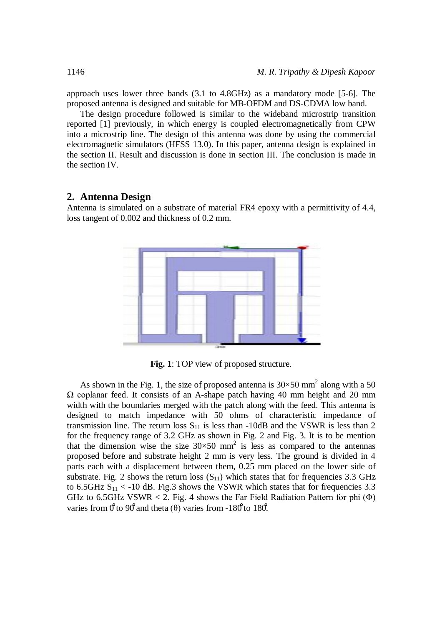approach uses lower three bands (3.1 to 4.8GHz) as a mandatory mode [5-6]. The proposed antenna is designed and suitable for MB-OFDM and DS-CDMA low band.

The design procedure followed is similar to the wideband microstrip transition reported [1] previously, in which energy is coupled electromagnetically from CPW into a microstrip line. The design of this antenna was done by using the commercial electromagnetic simulators (HFSS 13.0). In this paper, antenna design is explained in the section II. Result and discussion is done in section III. The conclusion is made in the section IV.

### **2. Antenna Design**

Antenna is simulated on a substrate of material FR4 epoxy with a permittivity of 4.4, loss tangent of 0.002 and thickness of 0.2 mm.



**Fig. 1**: TOP view of proposed structure.

As shown in the Fig. 1, the size of proposed antenna is  $30\times50$  mm<sup>2</sup> along with a 50 Ω coplanar feed. It consists of an A-shape patch having 40 mm height and 20 mm width with the boundaries merged with the patch along with the feed. This antenna is designed to match impedance with 50 ohms of characteristic impedance of transmission line. The return loss  $S_{11}$  is less than -10dB and the VSWR is less than 2 for the frequency range of 3.2 GHz as shown in Fig. 2 and Fig. 3. It is to be mention that the dimension wise the size  $30 \times 50$  mm<sup>2</sup> is less as compared to the antennas proposed before and substrate height 2 mm is very less. The ground is divided in 4 parts each with a displacement between them, 0.25 mm placed on the lower side of substrate. Fig. 2 shows the return loss  $(S_{11})$  which states that for frequencies 3.3 GHz to 6.5GHz  $S_{11}$  < -10 dB. Fig.3 shows the VSWR which states that for frequencies 3.3 GHz to 6.5GHz VSWR < 2. Fig. 4 shows the Far Field Radiation Pattern for phi  $(\Phi)$ varies from  $0<sup>6</sup>$  to 90<sup> $\theta$ </sup> and theta (θ) varies from -180<sup> $\theta$ </sup> to 180<sup> $\theta$ </sup>.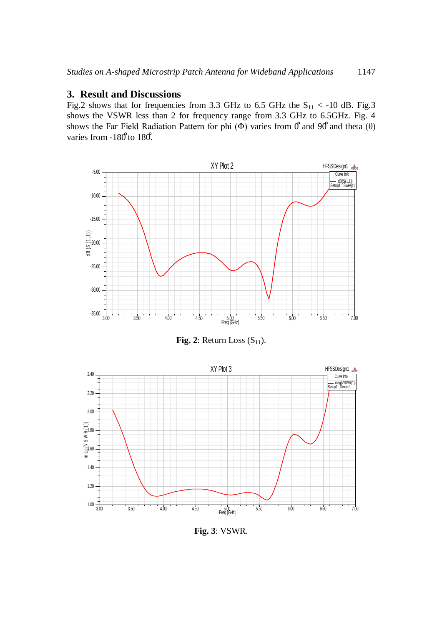### **3. Result and Discussions**

Fig.2 shows that for frequencies from 3.3 GHz to 6.5 GHz the  $S_{11}$  < -10 dB. Fig.3 shows the VSWR less than 2 for frequency range from 3.3 GHz to 6.5GHz. Fig. 4 shows the Far Field Radiation Pattern for phi ( $\Phi$ ) varies from  $\theta$  and 90° and theta ( $\theta$ ) varies from -180<sup>°</sup> to 180<sup>°</sup>.



**Fig. 2**: Return Loss  $(S_{11})$ .



**Fig. 3**: VSWR.